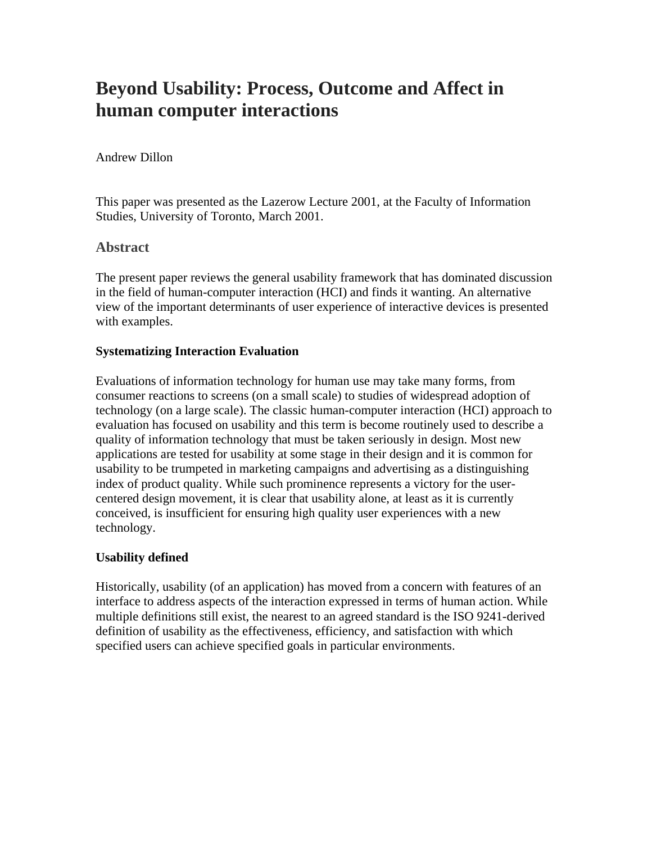# **Beyond Usability: Process, Outcome and Affect in human computer interactions**

## Andrew Dillon

This paper was presented as the Lazerow Lecture 2001, at the Faculty of Information Studies, University of Toronto, March 2001.

# **Abstract**

The present paper reviews the general usability framework that has dominated discussion in the field of human-computer interaction (HCI) and finds it wanting. An alternative view of the important determinants of user experience of interactive devices is presented with examples.

## **Systematizing Interaction Evaluation**

Evaluations of information technology for human use may take many forms, from consumer reactions to screens (on a small scale) to studies of widespread adoption of technology (on a large scale). The classic human-computer interaction (HCI) approach to evaluation has focused on usability and this term is become routinely used to describe a quality of information technology that must be taken seriously in design. Most new applications are tested for usability at some stage in their design and it is common for usability to be trumpeted in marketing campaigns and advertising as a distinguishing index of product quality. While such prominence represents a victory for the usercentered design movement, it is clear that usability alone, at least as it is currently conceived, is insufficient for ensuring high quality user experiences with a new technology.

# **Usability defined**

Historically, usability (of an application) has moved from a concern with features of an interface to address aspects of the interaction expressed in terms of human action. While multiple definitions still exist, the nearest to an agreed standard is the ISO 9241-derived definition of usability as the effectiveness, efficiency, and satisfaction with which specified users can achieve specified goals in particular environments.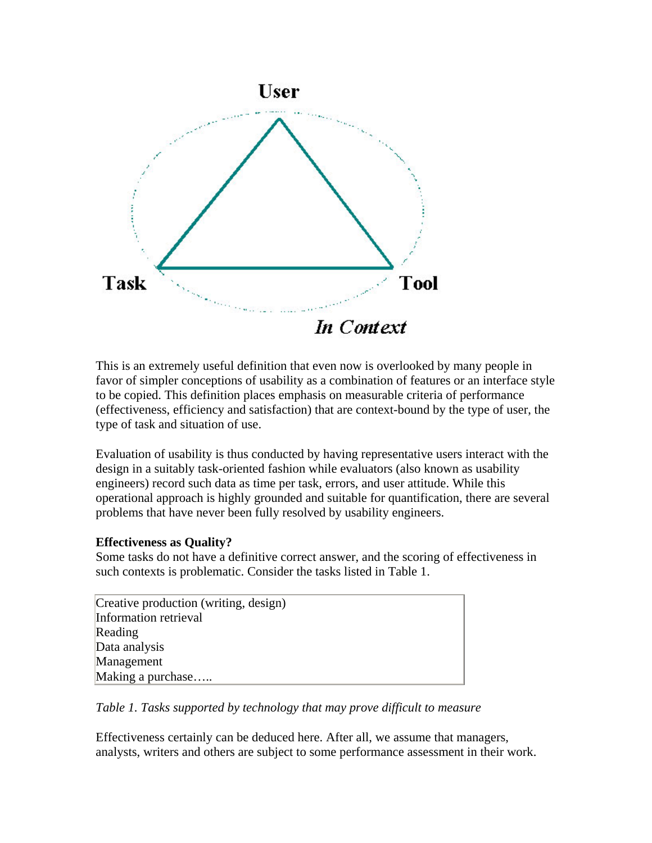

This is an extremely useful definition that even now is overlooked by many people in favor of simpler conceptions of usability as a combination of features or an interface style to be copied. This definition places emphasis on measurable criteria of performance (effectiveness, efficiency and satisfaction) that are context-bound by the type of user, the type of task and situation of use.

Evaluation of usability is thus conducted by having representative users interact with the design in a suitably task-oriented fashion while evaluators (also known as usability engineers) record such data as time per task, errors, and user attitude. While this operational approach is highly grounded and suitable for quantification, there are several problems that have never been fully resolved by usability engineers.

#### **Effectiveness as Quality?**

Some tasks do not have a definitive correct answer, and the scoring of effectiveness in such contexts is problematic. Consider the tasks listed in Table 1.

| Creative production (writing, design) |  |
|---------------------------------------|--|
| Information retrieval                 |  |
| Reading                               |  |
| Data analysis                         |  |
| Management                            |  |
| Making a purchase                     |  |

*Table 1. Tasks supported by technology that may prove difficult to measure*

Effectiveness certainly can be deduced here. After all, we assume that managers, analysts, writers and others are subject to some performance assessment in their work.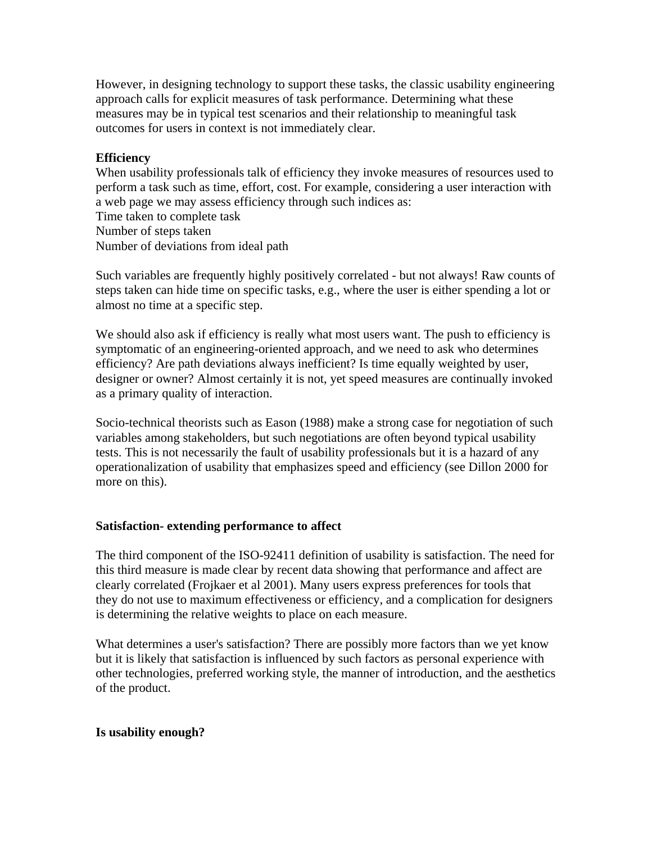However, in designing technology to support these tasks, the classic usability engineering approach calls for explicit measures of task performance. Determining what these measures may be in typical test scenarios and their relationship to meaningful task outcomes for users in context is not immediately clear.

## **Efficiency**

When usability professionals talk of efficiency they invoke measures of resources used to perform a task such as time, effort, cost. For example, considering a user interaction with a web page we may assess efficiency through such indices as: Time taken to complete task Number of steps taken Number of deviations from ideal path

Such variables are frequently highly positively correlated - but not always! Raw counts of steps taken can hide time on specific tasks, e.g., where the user is either spending a lot or almost no time at a specific step.

We should also ask if efficiency is really what most users want. The push to efficiency is symptomatic of an engineering-oriented approach, and we need to ask who determines efficiency? Are path deviations always inefficient? Is time equally weighted by user, designer or owner? Almost certainly it is not, yet speed measures are continually invoked as a primary quality of interaction.

Socio-technical theorists such as Eason (1988) make a strong case for negotiation of such variables among stakeholders, but such negotiations are often beyond typical usability tests. This is not necessarily the fault of usability professionals but it is a hazard of any operationalization of usability that emphasizes speed and efficiency (see Dillon 2000 for more on this).

#### **Satisfaction- extending performance to affect**

The third component of the ISO-92411 definition of usability is satisfaction. The need for this third measure is made clear by recent data showing that performance and affect are clearly correlated (Frojkaer et al 2001). Many users express preferences for tools that they do not use to maximum effectiveness or efficiency, and a complication for designers is determining the relative weights to place on each measure.

What determines a user's satisfaction? There are possibly more factors than we yet know but it is likely that satisfaction is influenced by such factors as personal experience with other technologies, preferred working style, the manner of introduction, and the aesthetics of the product.

# **Is usability enough?**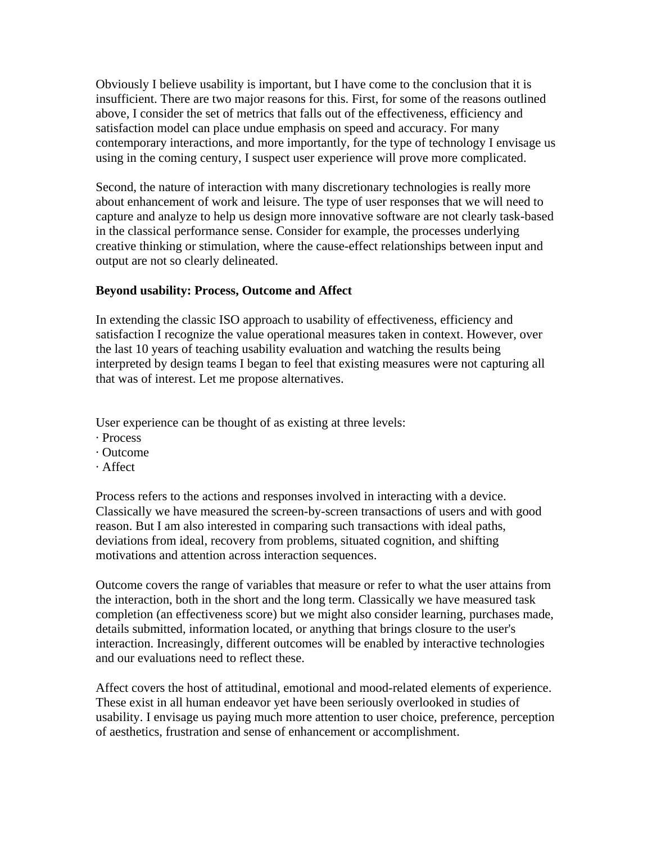Obviously I believe usability is important, but I have come to the conclusion that it is insufficient. There are two major reasons for this. First, for some of the reasons outlined above, I consider the set of metrics that falls out of the effectiveness, efficiency and satisfaction model can place undue emphasis on speed and accuracy. For many contemporary interactions, and more importantly, for the type of technology I envisage us using in the coming century, I suspect user experience will prove more complicated.

Second, the nature of interaction with many discretionary technologies is really more about enhancement of work and leisure. The type of user responses that we will need to capture and analyze to help us design more innovative software are not clearly task-based in the classical performance sense. Consider for example, the processes underlying creative thinking or stimulation, where the cause-effect relationships between input and output are not so clearly delineated.

#### **Beyond usability: Process, Outcome and Affect**

In extending the classic ISO approach to usability of effectiveness, efficiency and satisfaction I recognize the value operational measures taken in context. However, over the last 10 years of teaching usability evaluation and watching the results being interpreted by design teams I began to feel that existing measures were not capturing all that was of interest. Let me propose alternatives.

User experience can be thought of as existing at three levels:

- · Process
- · Outcome
- · Affect

Process refers to the actions and responses involved in interacting with a device. Classically we have measured the screen-by-screen transactions of users and with good reason. But I am also interested in comparing such transactions with ideal paths, deviations from ideal, recovery from problems, situated cognition, and shifting motivations and attention across interaction sequences.

Outcome covers the range of variables that measure or refer to what the user attains from the interaction, both in the short and the long term. Classically we have measured task completion (an effectiveness score) but we might also consider learning, purchases made, details submitted, information located, or anything that brings closure to the user's interaction. Increasingly, different outcomes will be enabled by interactive technologies and our evaluations need to reflect these.

Affect covers the host of attitudinal, emotional and mood-related elements of experience. These exist in all human endeavor yet have been seriously overlooked in studies of usability. I envisage us paying much more attention to user choice, preference, perception of aesthetics, frustration and sense of enhancement or accomplishment.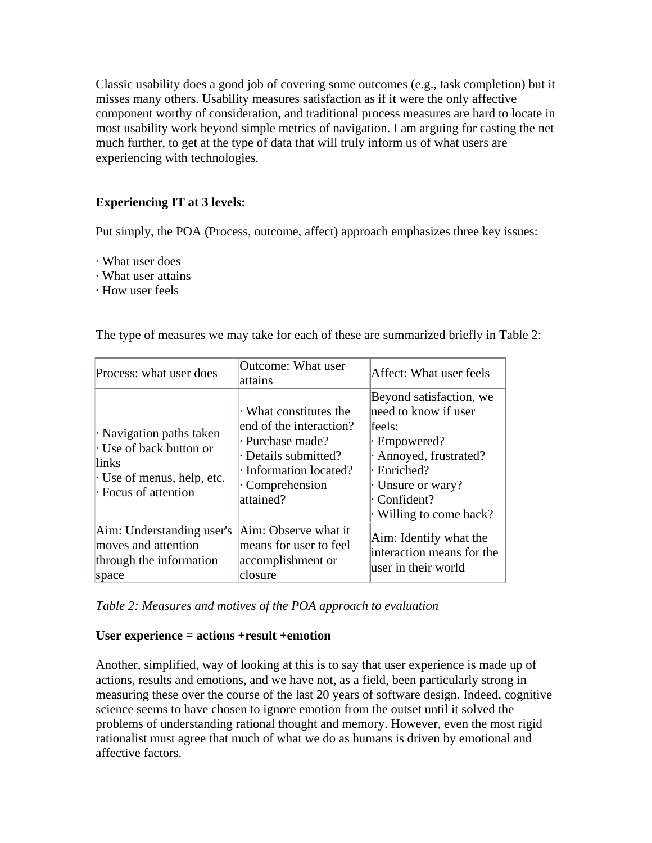Classic usability does a good job of covering some outcomes (e.g., task completion) but it misses many others. Usability measures satisfaction as if it were the only affective component worthy of consideration, and traditional process measures are hard to locate in most usability work beyond simple metrics of navigation. I am arguing for casting the net much further, to get at the type of data that will truly inform us of what users are experiencing with technologies.

# **Experiencing IT at 3 levels:**

Put simply, the POA (Process, outcome, affect) approach emphasizes three key issues:

- · What user does
- · What user attains
- · How user feels

| Process: what user does                                                                                            | Outcome: What user<br>lattains                                                                                                                       | Affect: What user feels                                                                                                                                                      |  |  |
|--------------------------------------------------------------------------------------------------------------------|------------------------------------------------------------------------------------------------------------------------------------------------------|------------------------------------------------------------------------------------------------------------------------------------------------------------------------------|--|--|
| Navigation paths taken<br>Use of back button or<br>links<br>$\cdot$ Use of menus, help, etc.<br>Focus of attention | What constitutes the<br>lend of the interaction?<br>Purchase made?<br>· Details submitted?<br>· Information located?<br>· Comprehension<br>attained? | Beyond satisfaction, we<br>need to know if user<br>feels:<br>· Empowered?<br>Annoyed, frustrated?<br>· Enriched?<br>· Unsure or wary?<br>Confident?<br>Willing to come back? |  |  |
| Aim: Understanding user's<br>moves and attention<br>through the information<br>space                               | Aim: Observe what it<br>means for user to feel<br>accomplishment or<br>closure                                                                       | Aim: Identify what the<br>interaction means for the<br>user in their world                                                                                                   |  |  |

The type of measures we may take for each of these are summarized briefly in Table 2:

*Table 2: Measures and motives of the POA approach to evaluation*

#### **User experience = actions +result +emotion**

Another, simplified, way of looking at this is to say that user experience is made up of actions, results and emotions, and we have not, as a field, been particularly strong in measuring these over the course of the last 20 years of software design. Indeed, cognitive science seems to have chosen to ignore emotion from the outset until it solved the problems of understanding rational thought and memory. However, even the most rigid rationalist must agree that much of what we do as humans is driven by emotional and affective factors.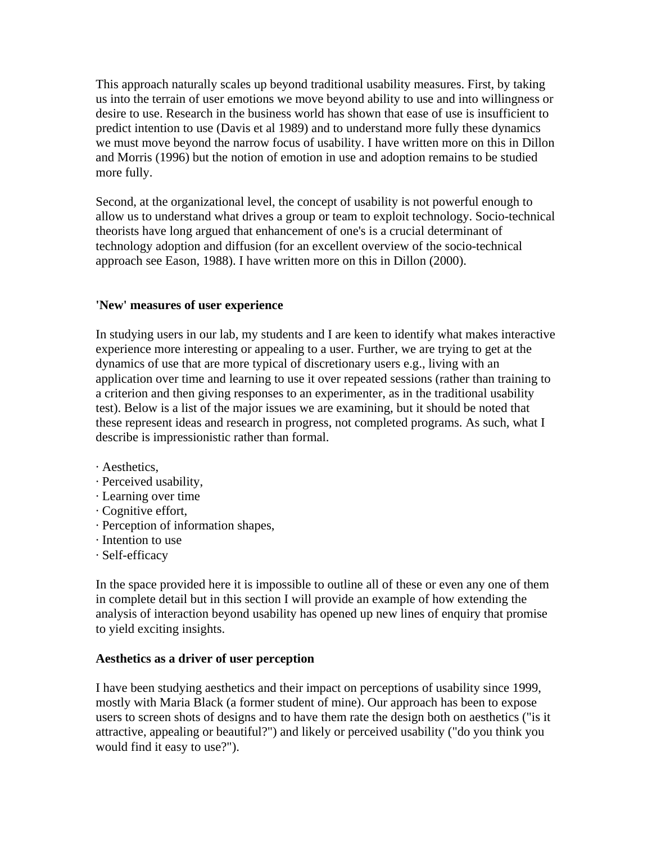This approach naturally scales up beyond traditional usability measures. First, by taking us into the terrain of user emotions we move beyond ability to use and into willingness or desire to use. Research in the business world has shown that ease of use is insufficient to predict intention to use (Davis et al 1989) and to understand more fully these dynamics we must move beyond the narrow focus of usability. I have written more on this in Dillon and Morris (1996) but the notion of emotion in use and adoption remains to be studied more fully.

Second, at the organizational level, the concept of usability is not powerful enough to allow us to understand what drives a group or team to exploit technology. Socio-technical theorists have long argued that enhancement of one's is a crucial determinant of technology adoption and diffusion (for an excellent overview of the socio-technical approach see Eason, 1988). I have written more on this in Dillon (2000).

#### **'New' measures of user experience**

In studying users in our lab, my students and I are keen to identify what makes interactive experience more interesting or appealing to a user. Further, we are trying to get at the dynamics of use that are more typical of discretionary users e.g., living with an application over time and learning to use it over repeated sessions (rather than training to a criterion and then giving responses to an experimenter, as in the traditional usability test). Below is a list of the major issues we are examining, but it should be noted that these represent ideas and research in progress, not completed programs. As such, what I describe is impressionistic rather than formal.

- · Aesthetics,
- · Perceived usability,
- · Learning over time
- · Cognitive effort,
- · Perception of information shapes,
- · Intention to use
- · Self-efficacy

In the space provided here it is impossible to outline all of these or even any one of them in complete detail but in this section I will provide an example of how extending the analysis of interaction beyond usability has opened up new lines of enquiry that promise to yield exciting insights.

# **Aesthetics as a driver of user perception**

I have been studying aesthetics and their impact on perceptions of usability since 1999, mostly with Maria Black (a former student of mine). Our approach has been to expose users to screen shots of designs and to have them rate the design both on aesthetics ("is it attractive, appealing or beautiful?") and likely or perceived usability ("do you think you would find it easy to use?").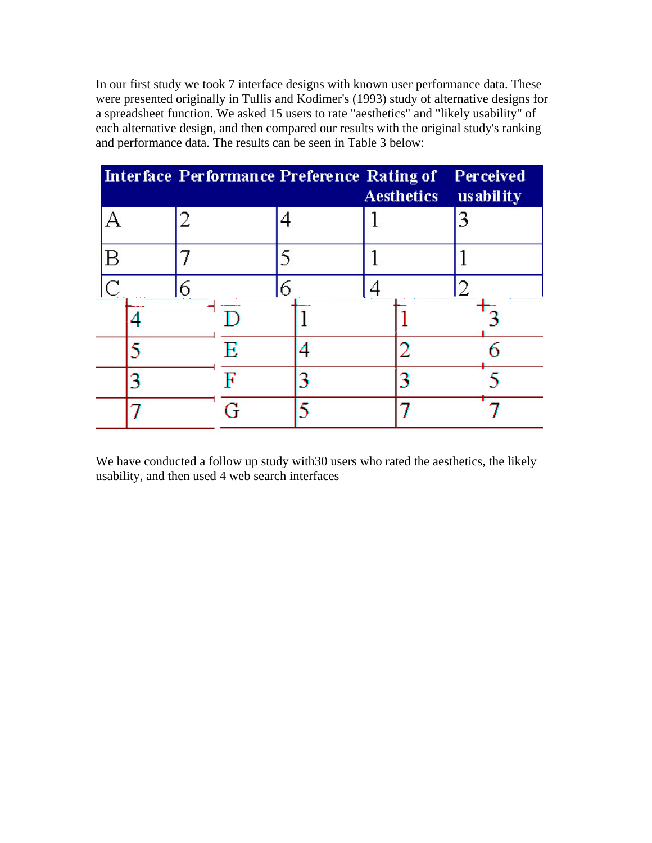In our first study we took 7 interface designs with known user performance data. These were presented originally in Tullis and Kodimer's (1993) study of alternative designs for a spreadsheet function. We asked 15 users to rate "aesthetics" and "likely usability" of each alternative design, and then compared our results with the original study's ranking and performance data. The results can be seen in Table 3 below:

| Interface Performance Preference Rating of |   |   |  | <b>Aesthetics</b> | Perceived<br>us ability |
|--------------------------------------------|---|---|--|-------------------|-------------------------|
|                                            |   |   |  |                   |                         |
| В                                          |   |   |  |                   |                         |
| $\overline{C}$                             | 6 | 6 |  |                   |                         |
|                                            |   |   |  |                   |                         |
|                                            |   |   |  |                   |                         |
|                                            |   |   |  |                   |                         |
|                                            |   |   |  |                   |                         |

We have conducted a follow up study with30 users who rated the aesthetics, the likely usability, and then used 4 web search interfaces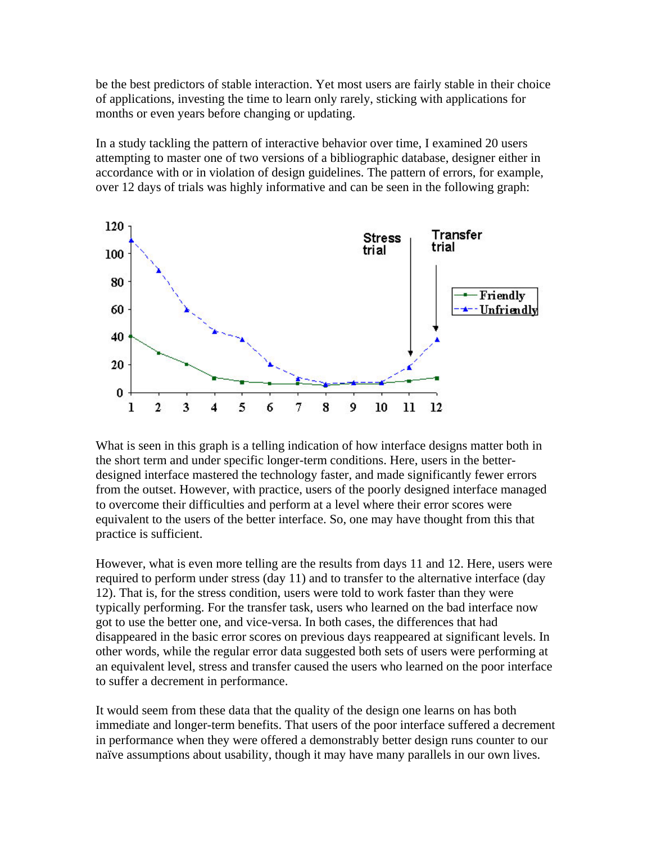be the best predictors of stable interaction. Yet most users are fairly stable in their choice of applications, investing the time to learn only rarely, sticking with applications for months or even years before changing or updating.

In a study tackling the pattern of interactive behavior over time, I examined 20 users attempting to master one of two versions of a bibliographic database, designer either in accordance with or in violation of design guidelines. The pattern of errors, for example, over 12 days of trials was highly informative and can be seen in the following graph:



What is seen in this graph is a telling indication of how interface designs matter both in the short term and under specific longer-term conditions. Here, users in the betterdesigned interface mastered the technology faster, and made significantly fewer errors from the outset. However, with practice, users of the poorly designed interface managed to overcome their difficulties and perform at a level where their error scores were equivalent to the users of the better interface. So, one may have thought from this that practice is sufficient.

However, what is even more telling are the results from days 11 and 12. Here, users were required to perform under stress (day 11) and to transfer to the alternative interface (day 12). That is, for the stress condition, users were told to work faster than they were typically performing. For the transfer task, users who learned on the bad interface now got to use the better one, and vice-versa. In both cases, the differences that had disappeared in the basic error scores on previous days reappeared at significant levels. In other words, while the regular error data suggested both sets of users were performing at an equivalent level, stress and transfer caused the users who learned on the poor interface to suffer a decrement in performance.

It would seem from these data that the quality of the design one learns on has both immediate and longer-term benefits. That users of the poor interface suffered a decrement in performance when they were offered a demonstrably better design runs counter to our naïve assumptions about usability, though it may have many parallels in our own lives.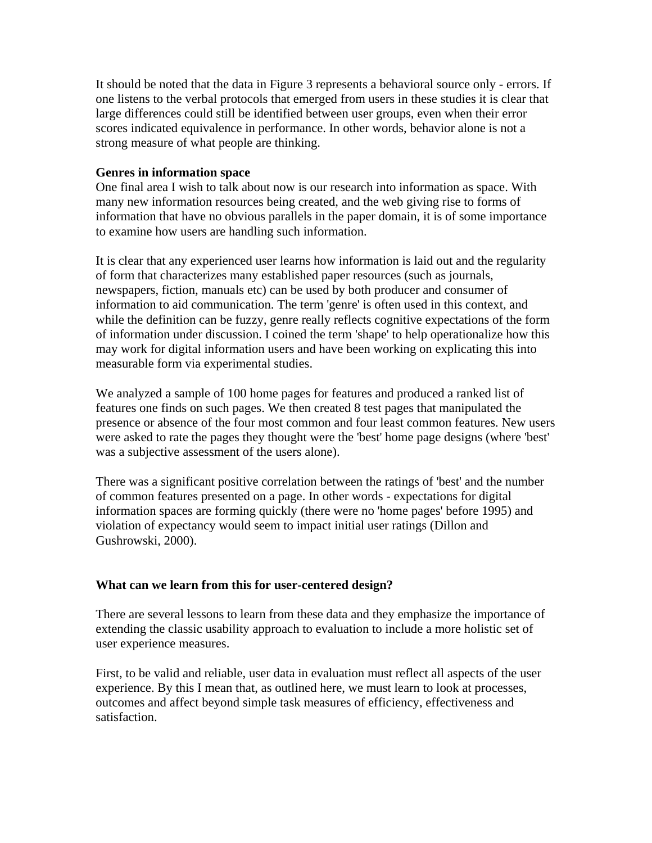It should be noted that the data in Figure 3 represents a behavioral source only - errors. If one listens to the verbal protocols that emerged from users in these studies it is clear that large differences could still be identified between user groups, even when their error scores indicated equivalence in performance. In other words, behavior alone is not a strong measure of what people are thinking.

#### **Genres in information space**

One final area I wish to talk about now is our research into information as space. With many new information resources being created, and the web giving rise to forms of information that have no obvious parallels in the paper domain, it is of some importance to examine how users are handling such information.

It is clear that any experienced user learns how information is laid out and the regularity of form that characterizes many established paper resources (such as journals, newspapers, fiction, manuals etc) can be used by both producer and consumer of information to aid communication. The term 'genre' is often used in this context, and while the definition can be fuzzy, genre really reflects cognitive expectations of the form of information under discussion. I coined the term 'shape' to help operationalize how this may work for digital information users and have been working on explicating this into measurable form via experimental studies.

We analyzed a sample of 100 home pages for features and produced a ranked list of features one finds on such pages. We then created 8 test pages that manipulated the presence or absence of the four most common and four least common features. New users were asked to rate the pages they thought were the 'best' home page designs (where 'best' was a subjective assessment of the users alone).

There was a significant positive correlation between the ratings of 'best' and the number of common features presented on a page. In other words - expectations for digital information spaces are forming quickly (there were no 'home pages' before 1995) and violation of expectancy would seem to impact initial user ratings (Dillon and Gushrowski, 2000).

#### **What can we learn from this for user-centered design?**

There are several lessons to learn from these data and they emphasize the importance of extending the classic usability approach to evaluation to include a more holistic set of user experience measures.

First, to be valid and reliable, user data in evaluation must reflect all aspects of the user experience. By this I mean that, as outlined here, we must learn to look at processes, outcomes and affect beyond simple task measures of efficiency, effectiveness and satisfaction.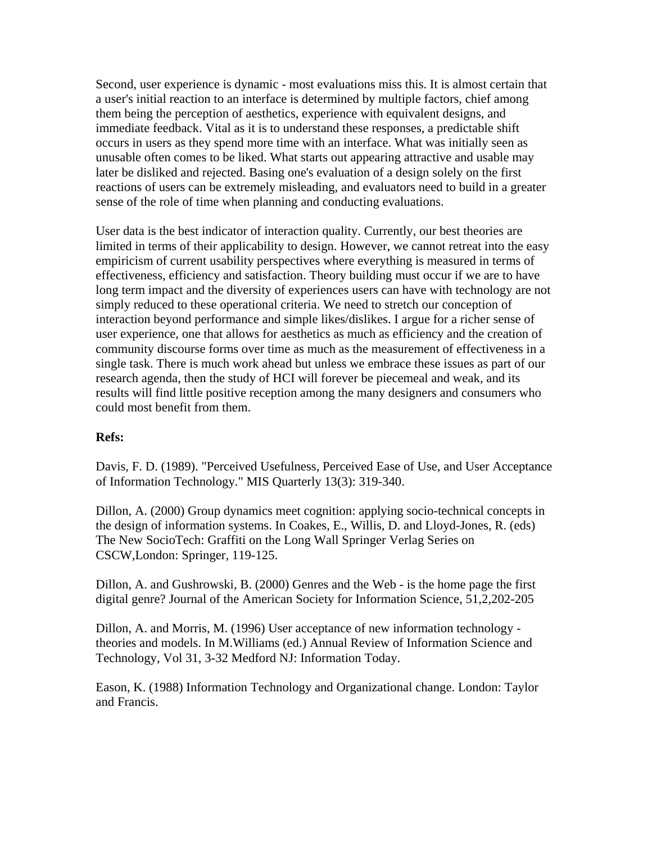Second, user experience is dynamic - most evaluations miss this. It is almost certain that a user's initial reaction to an interface is determined by multiple factors, chief among them being the perception of aesthetics, experience with equivalent designs, and immediate feedback. Vital as it is to understand these responses, a predictable shift occurs in users as they spend more time with an interface. What was initially seen as unusable often comes to be liked. What starts out appearing attractive and usable may later be disliked and rejected. Basing one's evaluation of a design solely on the first reactions of users can be extremely misleading, and evaluators need to build in a greater sense of the role of time when planning and conducting evaluations.

User data is the best indicator of interaction quality. Currently, our best theories are limited in terms of their applicability to design. However, we cannot retreat into the easy empiricism of current usability perspectives where everything is measured in terms of effectiveness, efficiency and satisfaction. Theory building must occur if we are to have long term impact and the diversity of experiences users can have with technology are not simply reduced to these operational criteria. We need to stretch our conception of interaction beyond performance and simple likes/dislikes. I argue for a richer sense of user experience, one that allows for aesthetics as much as efficiency and the creation of community discourse forms over time as much as the measurement of effectiveness in a single task. There is much work ahead but unless we embrace these issues as part of our research agenda, then the study of HCI will forever be piecemeal and weak, and its results will find little positive reception among the many designers and consumers who could most benefit from them.

#### **Refs:**

Davis, F. D. (1989). "Perceived Usefulness, Perceived Ease of Use, and User Acceptance of Information Technology." MIS Quarterly 13(3): 319-340.

Dillon, A. (2000) Group dynamics meet cognition: applying socio-technical concepts in the design of information systems. In Coakes, E., Willis, D. and Lloyd-Jones, R. (eds) The New SocioTech: Graffiti on the Long Wall Springer Verlag Series on CSCW,London: Springer, 119-125.

Dillon, A. and Gushrowski, B. (2000) Genres and the Web - is the home page the first digital genre? Journal of the American Society for Information Science, 51,2,202-205

Dillon, A. and Morris, M. (1996) User acceptance of new information technology theories and models. In M.Williams (ed.) Annual Review of Information Science and Technology, Vol 31, 3-32 Medford NJ: Information Today.

Eason, K. (1988) Information Technology and Organizational change. London: Taylor and Francis.